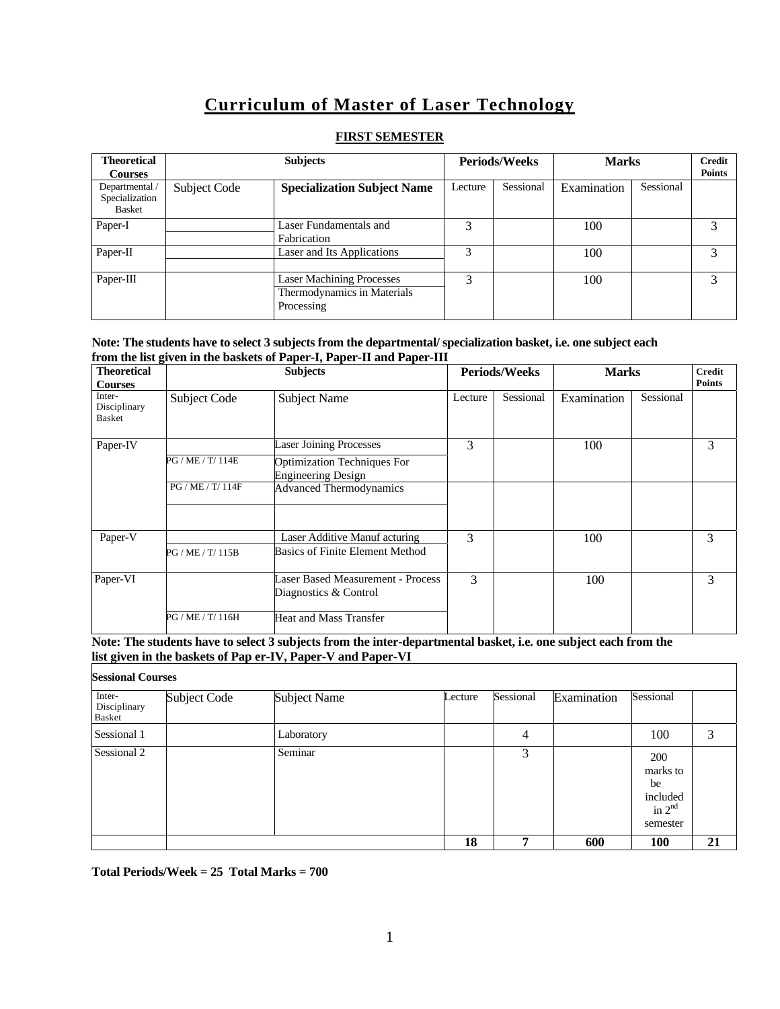# **Curriculum of Master of Laser Technology**

#### **FIRST SEMESTER**

| <b>Theoretical</b><br><b>Courses</b>              | <b>Subjects</b>     |                                                                               |         | <b>Periods/Weeks</b> | <b>Marks</b> |           | <b>Credit</b><br><b>Points</b> |
|---------------------------------------------------|---------------------|-------------------------------------------------------------------------------|---------|----------------------|--------------|-----------|--------------------------------|
| Departmental /<br>Specialization<br><b>Basket</b> | <b>Subject Code</b> | <b>Specialization Subject Name</b>                                            | Lecture | Sessional            | Examination  | Sessional |                                |
| Paper-I                                           |                     | Laser Fundamentals and<br>Fabrication                                         | 3       |                      | 100          |           | 3                              |
| Paper-II                                          |                     | Laser and Its Applications                                                    | 3       |                      | 100          |           | 3                              |
| Paper-III                                         |                     | <b>Laser Machining Processes</b><br>Thermodynamics in Materials<br>Processing | 3       |                      | 100          |           | 3                              |

#### **Note: The students have to select 3 subjects from the departmental/ specialization basket, i.e. one subject each from the list given in the baskets of Paper-I, Paper-II and Paper-III**

| <b>Theoretical</b><br><b>Courses</b> |                   | <b>Subjects</b>                                                   |                                                  | <b>Periods/Weeks</b> | <b>Marks</b> |  | Credit<br><b>Points</b> |
|--------------------------------------|-------------------|-------------------------------------------------------------------|--------------------------------------------------|----------------------|--------------|--|-------------------------|
| Inter-<br>Disciplinary<br>Basket     | Subject Code      | <b>Subject Name</b>                                               | Sessional<br>Sessional<br>Examination<br>Lecture |                      |              |  |                         |
| Paper-IV                             |                   | <b>Laser Joining Processes</b>                                    | 3                                                |                      | 100          |  | 3                       |
|                                      | PG / ME / T/ 114E | <b>Optimization Techniques For</b><br><b>Engineering Design</b>   |                                                  |                      |              |  |                         |
|                                      | PG / ME / T/ 114F | <b>Advanced Thermodynamics</b>                                    |                                                  |                      |              |  |                         |
| Paper-V                              |                   | Laser Additive Manuf acturing                                     | 3                                                |                      | 100          |  | 3                       |
|                                      | PG / ME / T/ 115B | <b>Basics of Finite Element Method</b>                            |                                                  |                      |              |  |                         |
| Paper-VI                             |                   | <b>Laser Based Measurement - Process</b><br>Diagnostics & Control | 3                                                |                      | 100          |  | 3                       |
|                                      | PG / ME / T/ 116H | <b>Heat and Mass Transfer</b>                                     |                                                  |                      |              |  |                         |

**Note: The students have to select 3 subjects from the inter-departmental basket, i.e. one subject each from the list given in the baskets of Pap er-IV, Paper-V and Paper-VI**

|                                  | <b>Sessional Courses</b> |                     |         |           |             |                                                                     |    |  |  |  |
|----------------------------------|--------------------------|---------------------|---------|-----------|-------------|---------------------------------------------------------------------|----|--|--|--|
| Inter-<br>Disciplinary<br>Basket | Subject Code             | <b>Subject Name</b> | Lecture | Sessional | Examination | Sessional                                                           |    |  |  |  |
| Sessional 1                      |                          | Laboratory          |         | 4         |             | 100                                                                 | 3  |  |  |  |
| Sessional 2                      |                          | Seminar             |         | 3         |             | <b>200</b><br>marks to<br>be<br>included<br>in $2^{nd}$<br>semester |    |  |  |  |
|                                  |                          |                     | 18      | 7         | 600         | <b>100</b>                                                          | 21 |  |  |  |

**Total Periods/Week = 25 Total Marks = 700**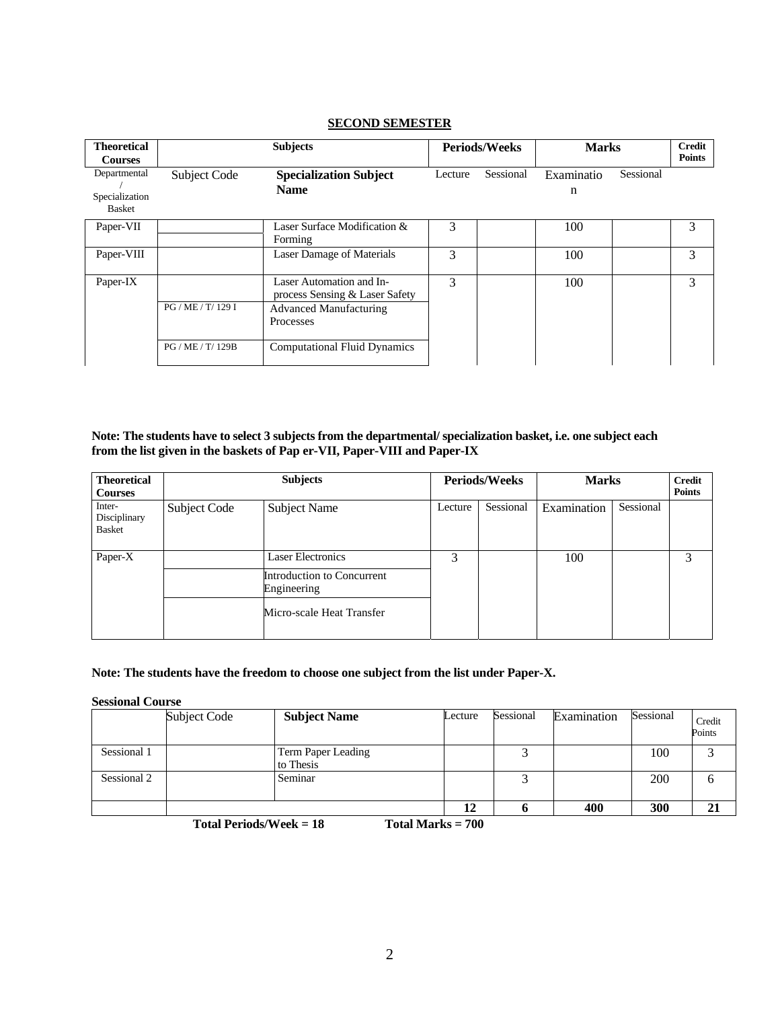# **SECOND SEMESTER**

| <b>Theoretical</b><br><b>Courses</b>            | <b>Subjects</b>                         |                                                                                                                                                 |         | <b>Periods/Weeks</b> | <b>Marks</b>    |           | <b>Credit</b><br><b>Points</b> |
|-------------------------------------------------|-----------------------------------------|-------------------------------------------------------------------------------------------------------------------------------------------------|---------|----------------------|-----------------|-----------|--------------------------------|
| Departmental<br>Specialization<br><b>Basket</b> | Subject Code                            | <b>Specialization Subject</b><br><b>Name</b>                                                                                                    | Lecture | Sessional            | Examinatio<br>n | Sessional |                                |
| Paper-VII                                       |                                         | Laser Surface Modification &<br>Forming                                                                                                         | 3       |                      | 100             |           | 3                              |
| Paper-VIII                                      |                                         | Laser Damage of Materials                                                                                                                       | 3       |                      | 100             |           | 3                              |
| Paper-IX                                        | PG / ME / T/ 129 I<br>PG / ME / T/ 129B | Laser Automation and In-<br>process Sensing & Laser Safety<br><b>Advanced Manufacturing</b><br>Processes<br><b>Computational Fluid Dynamics</b> | 3       |                      | 100             |           | 3                              |

#### **Note: The students have to select 3 subjects from the departmental/ specialization basket, i.e. one subject each from the list given in the baskets of Pap er-VII, Paper-VIII and Paper-IX**

| <b>Theoretical</b><br><b>Courses</b>    | <b>Subjects</b> |                                                                                                    |         | <b>Periods/Weeks</b><br><b>Marks</b> |             |           | <b>Credit</b><br><b>Points</b> |
|-----------------------------------------|-----------------|----------------------------------------------------------------------------------------------------|---------|--------------------------------------|-------------|-----------|--------------------------------|
| Inter-<br>Disciplinary<br><b>Basket</b> | Subject Code    | <b>Subject Name</b>                                                                                | Lecture | Sessional                            | Examination | Sessional |                                |
| Paper-X                                 |                 | <b>Laser Electronics</b><br>Introduction to Concurrent<br>Engineering<br>Micro-scale Heat Transfer | 3       |                                      | 100         |           | 3                              |

#### **Note: The students have the freedom to choose one subject from the list under Paper-X.**

#### **Sessional Course**

|             | Subject Code | <b>Subject Name</b>             | Lecture | Sessional | Examination | Sessional | Credit<br>Points |
|-------------|--------------|---------------------------------|---------|-----------|-------------|-----------|------------------|
| Sessional 1 |              | Term Paper Leading<br>to Thesis |         |           |             | 100       |                  |
| Sessional 2 |              | Seminar                         |         |           |             | 200       |                  |
|             |              |                                 | 12      |           | 400         | 300       |                  |

**Total Periods/Week = 18 Total Marks = 700**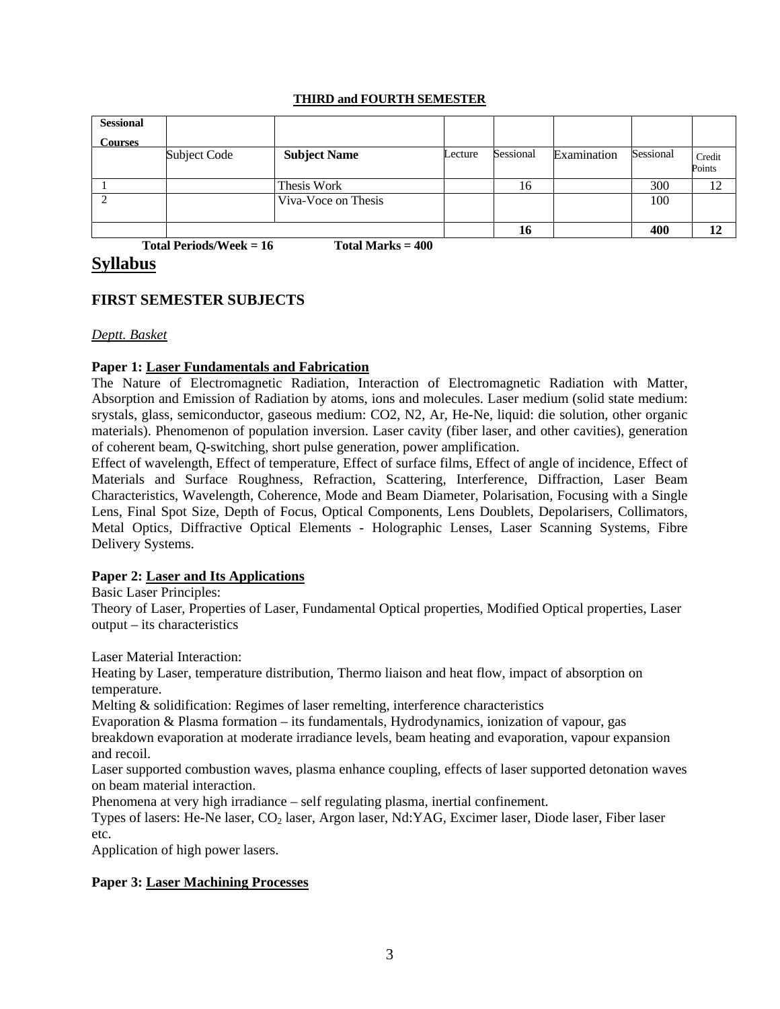# **THIRD and FOURTH SEMESTER**

| <b>Sessional</b> |              |                     |         |           |             |           |                  |
|------------------|--------------|---------------------|---------|-----------|-------------|-----------|------------------|
| <b>Courses</b>   |              |                     |         |           |             |           |                  |
|                  | Subject Code | <b>Subject Name</b> | Lecture | Sessional | Examination | Sessional | Credit<br>Points |
|                  |              | Thesis Work         |         | 16        |             | 300       | 12               |
|                  |              | Viva-Voce on Thesis |         |           |             | 100       |                  |
|                  |              |                     |         | 16        |             | 400       |                  |

**Total Periods/Week = 16 Total Marks = 400** 

# **Syllabus**

# **FIRST SEMESTER SUBJECTS**

# *Deptt. Basket*

# **Paper 1: Laser Fundamentals and Fabrication**

The Nature of Electromagnetic Radiation, Interaction of Electromagnetic Radiation with Matter, Absorption and Emission of Radiation by atoms, ions and molecules. Laser medium (solid state medium: srystals, glass, semiconductor, gaseous medium: CO2, N2, Ar, He-Ne, liquid: die solution, other organic materials). Phenomenon of population inversion. Laser cavity (fiber laser, and other cavities), generation of coherent beam, Q-switching, short pulse generation, power amplification.

Effect of wavelength, Effect of temperature, Effect of surface films, Effect of angle of incidence, Effect of Materials and Surface Roughness, Refraction, Scattering, Interference, Diffraction, Laser Beam Characteristics, Wavelength, Coherence, Mode and Beam Diameter, Polarisation, Focusing with a Single Lens, Final Spot Size, Depth of Focus, Optical Components, Lens Doublets, Depolarisers, Collimators, Metal Optics, Diffractive Optical Elements - Holographic Lenses, Laser Scanning Systems, Fibre Delivery Systems.

# **Paper 2: Laser and Its Applications**

Basic Laser Principles:

Theory of Laser, Properties of Laser, Fundamental Optical properties, Modified Optical properties, Laser output – its characteristics

Laser Material Interaction:

Heating by Laser, temperature distribution, Thermo liaison and heat flow, impact of absorption on temperature.

Melting & solidification: Regimes of laser remelting, interference characteristics

Evaporation & Plasma formation – its fundamentals, Hydrodynamics, ionization of vapour, gas breakdown evaporation at moderate irradiance levels, beam heating and evaporation, vapour expansion and recoil.

Laser supported combustion waves, plasma enhance coupling, effects of laser supported detonation waves on beam material interaction.

Phenomena at very high irradiance – self regulating plasma, inertial confinement.

Types of lasers: He-Ne laser, CO<sub>2</sub> laser, Argon laser, Nd:YAG, Excimer laser, Diode laser, Fiber laser etc.

Application of high power lasers.

# **Paper 3: Laser Machining Processes**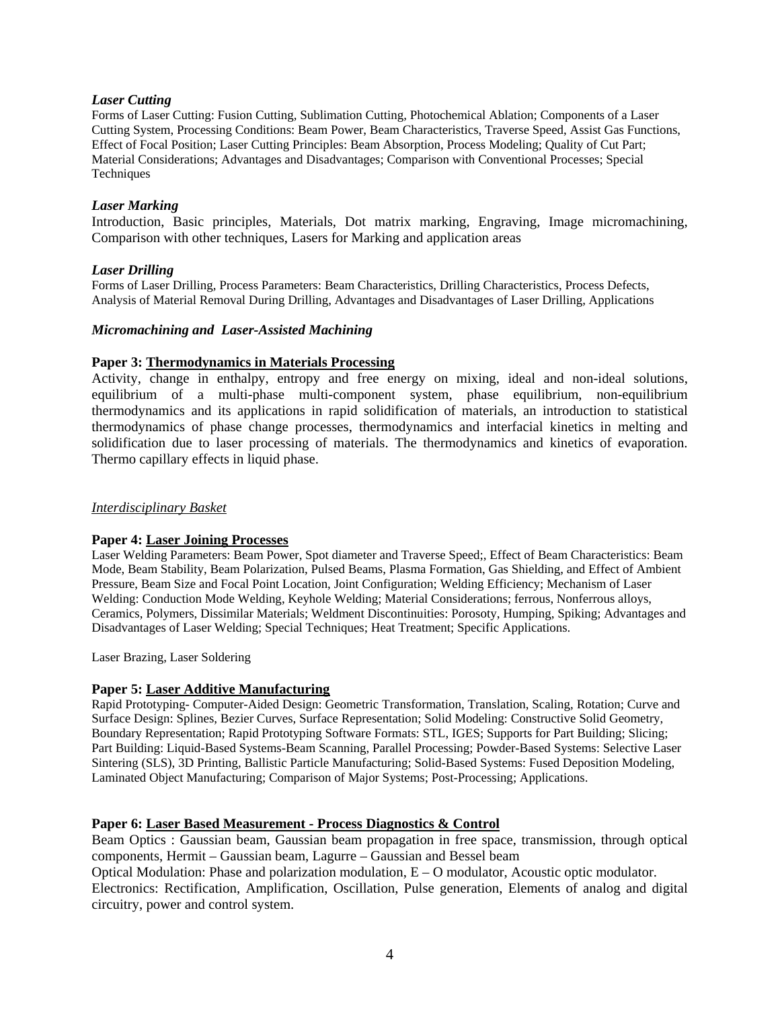#### *Laser Cutting*

Forms of Laser Cutting: Fusion Cutting, Sublimation Cutting, Photochemical Ablation; Components of a Laser Cutting System, Processing Conditions: Beam Power, Beam Characteristics, Traverse Speed, Assist Gas Functions, Effect of Focal Position; Laser Cutting Principles: Beam Absorption, Process Modeling; Quality of Cut Part; Material Considerations; Advantages and Disadvantages; Comparison with Conventional Processes; Special **Techniques** 

### *Laser Marking*

Introduction, Basic principles, Materials, Dot matrix marking, Engraving, Image micromachining, Comparison with other techniques, Lasers for Marking and application areas

#### *Laser Drilling*

Forms of Laser Drilling, Process Parameters: Beam Characteristics, Drilling Characteristics, Process Defects, Analysis of Material Removal During Drilling, Advantages and Disadvantages of Laser Drilling, Applications

#### *Micromachining and Laser-Assisted Machining*

#### **Paper 3: Thermodynamics in Materials Processing**

Activity, change in enthalpy, entropy and free energy on mixing, ideal and non-ideal solutions, equilibrium of a multi-phase multi-component system, phase equilibrium, non-equilibrium thermodynamics and its applications in rapid solidification of materials, an introduction to statistical thermodynamics of phase change processes, thermodynamics and interfacial kinetics in melting and solidification due to laser processing of materials. The thermodynamics and kinetics of evaporation. Thermo capillary effects in liquid phase.

### *Interdisciplinary Basket*

#### **Paper 4: Laser Joining Processes**

Laser Welding Parameters: Beam Power, Spot diameter and Traverse Speed;, Effect of Beam Characteristics: Beam Mode, Beam Stability, Beam Polarization, Pulsed Beams, Plasma Formation, Gas Shielding, and Effect of Ambient Pressure, Beam Size and Focal Point Location, Joint Configuration; Welding Efficiency; Mechanism of Laser Welding: Conduction Mode Welding, Keyhole Welding; Material Considerations; ferrous, Nonferrous alloys, Ceramics, Polymers, Dissimilar Materials; Weldment Discontinuities: Porosoty, Humping, Spiking; Advantages and Disadvantages of Laser Welding; Special Techniques; Heat Treatment; Specific Applications.

Laser Brazing, Laser Soldering

#### **Paper 5: Laser Additive Manufacturing**

Rapid Prototyping- Computer-Aided Design: Geometric Transformation, Translation, Scaling, Rotation; Curve and Surface Design: Splines, Bezier Curves, Surface Representation; Solid Modeling: Constructive Solid Geometry, Boundary Representation; Rapid Prototyping Software Formats: STL, IGES; Supports for Part Building; Slicing; Part Building: Liquid-Based Systems-Beam Scanning, Parallel Processing; Powder-Based Systems: Selective Laser Sintering (SLS), 3D Printing, Ballistic Particle Manufacturing; Solid-Based Systems: Fused Deposition Modeling, Laminated Object Manufacturing; Comparison of Major Systems; Post-Processing; Applications.

### **Paper 6: Laser Based Measurement - Process Diagnostics & Control**

Beam Optics : Gaussian beam, Gaussian beam propagation in free space, transmission, through optical components, Hermit – Gaussian beam, Lagurre – Gaussian and Bessel beam

Optical Modulation: Phase and polarization modulation, E – O modulator, Acoustic optic modulator. Electronics: Rectification, Amplification, Oscillation, Pulse generation, Elements of analog and digital circuitry, power and control system.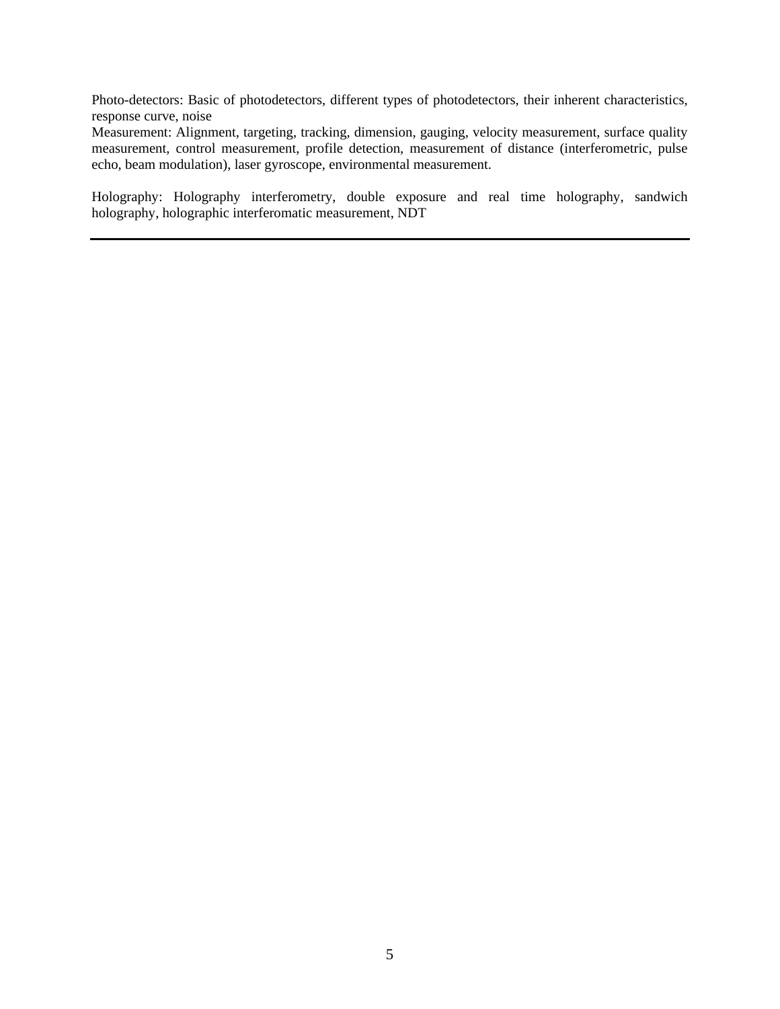Photo-detectors: Basic of photodetectors, different types of photodetectors, their inherent characteristics, response curve, noise

Measurement: Alignment, targeting, tracking, dimension, gauging, velocity measurement, surface quality measurement, control measurement, profile detection, measurement of distance (interferometric, pulse echo, beam modulation), laser gyroscope, environmental measurement.

Holography: Holography interferometry, double exposure and real time holography, sandwich holography, holographic interferomatic measurement, NDT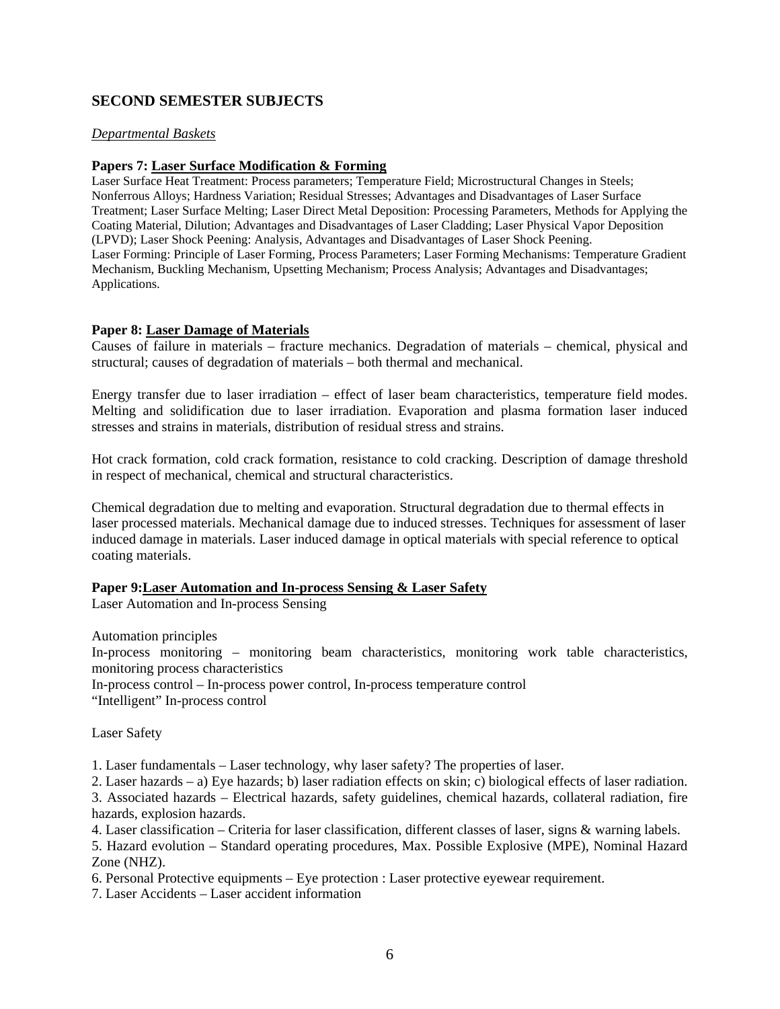# **SECOND SEMESTER SUBJECTS**

#### *Departmental Baskets*

#### **Papers 7: Laser Surface Modification & Forming**

Laser Surface Heat Treatment: Process parameters; Temperature Field; Microstructural Changes in Steels; Nonferrous Alloys; Hardness Variation; Residual Stresses; Advantages and Disadvantages of Laser Surface Treatment; Laser Surface Melting; Laser Direct Metal Deposition: Processing Parameters, Methods for Applying the Coating Material, Dilution; Advantages and Disadvantages of Laser Cladding; Laser Physical Vapor Deposition (LPVD); Laser Shock Peening: Analysis, Advantages and Disadvantages of Laser Shock Peening. Laser Forming: Principle of Laser Forming, Process Parameters; Laser Forming Mechanisms: Temperature Gradient Mechanism, Buckling Mechanism, Upsetting Mechanism; Process Analysis; Advantages and Disadvantages; Applications.

#### **Paper 8: Laser Damage of Materials**

Causes of failure in materials – fracture mechanics. Degradation of materials – chemical, physical and structural; causes of degradation of materials – both thermal and mechanical.

Energy transfer due to laser irradiation – effect of laser beam characteristics, temperature field modes. Melting and solidification due to laser irradiation. Evaporation and plasma formation laser induced stresses and strains in materials, distribution of residual stress and strains.

Hot crack formation, cold crack formation, resistance to cold cracking. Description of damage threshold in respect of mechanical, chemical and structural characteristics.

Chemical degradation due to melting and evaporation. Structural degradation due to thermal effects in laser processed materials. Mechanical damage due to induced stresses. Techniques for assessment of laser induced damage in materials. Laser induced damage in optical materials with special reference to optical coating materials.

### **Paper 9:Laser Automation and In-process Sensing & Laser Safety**

Laser Automation and In-process Sensing

Automation principles

In-process monitoring – monitoring beam characteristics, monitoring work table characteristics, monitoring process characteristics

In-process control – In-process power control, In-process temperature control

"Intelligent" In-process control

#### Laser Safety

1. Laser fundamentals – Laser technology, why laser safety? The properties of laser.

2. Laser hazards – a) Eye hazards; b) laser radiation effects on skin; c) biological effects of laser radiation.

3. Associated hazards – Electrical hazards, safety guidelines, chemical hazards, collateral radiation, fire hazards, explosion hazards.

4. Laser classification – Criteria for laser classification, different classes of laser, signs & warning labels.

5. Hazard evolution – Standard operating procedures, Max. Possible Explosive (MPE), Nominal Hazard Zone (NHZ).

6. Personal Protective equipments – Eye protection : Laser protective eyewear requirement.

7. Laser Accidents – Laser accident information